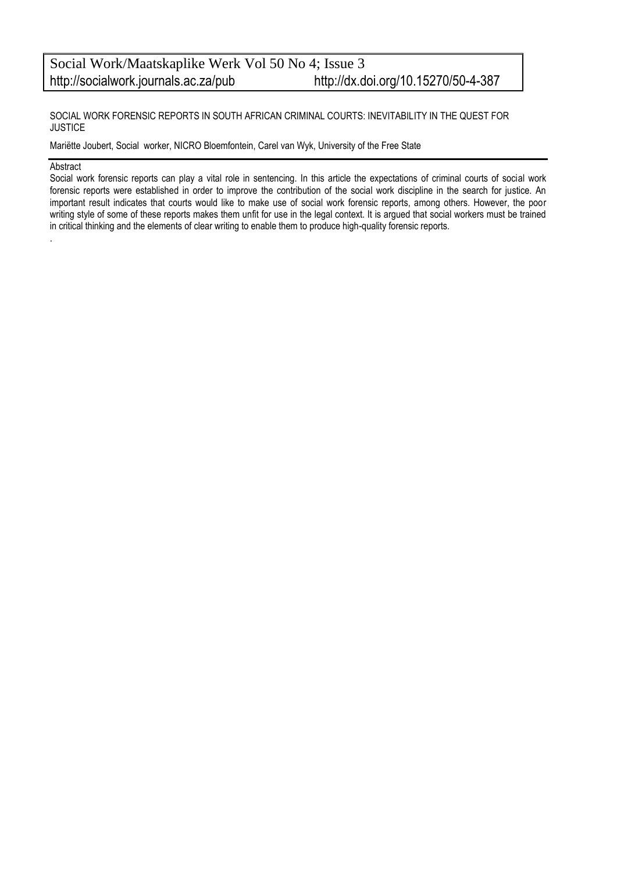SOCIAL WORK FORENSIC REPORTS IN SOUTH AFRICAN CRIMINAL COURTS: INEVITABILITY IN THE QUEST FOR **JUSTICE** 

Mariëtte Joubert, Social worker, NICRO Bloemfontein, Carel van Wyk, University of the Free State

#### Abstract

.

Social work forensic reports can play a vital role in sentencing. In this article the expectations of criminal courts of social work forensic reports were established in order to improve the contribution of the social work discipline in the search for justice. An important result indicates that courts would like to make use of social work forensic reports, among others. However, the poor writing style of some of these reports makes them unfit for use in the legal context. It is argued that social workers must be trained in critical thinking and the elements of clear writing to enable them to produce high-quality forensic reports.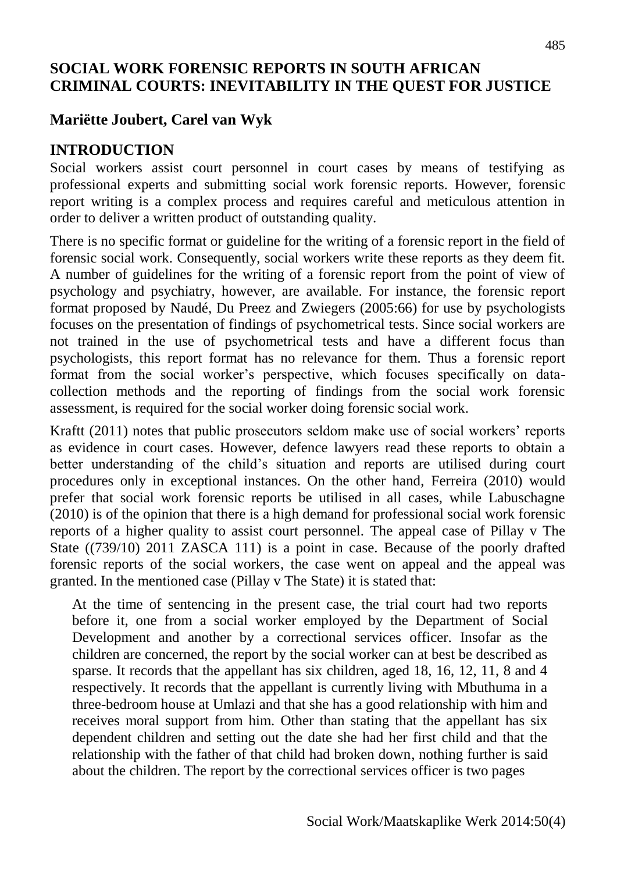## **SOCIAL WORK FORENSIC REPORTS IN SOUTH AFRICAN CRIMINAL COURTS: INEVITABILITY IN THE QUEST FOR JUSTICE**

## **Mariëtte Joubert, Carel van Wyk**

#### **INTRODUCTION**

Social workers assist court personnel in court cases by means of testifying as professional experts and submitting social work forensic reports. However, forensic report writing is a complex process and requires careful and meticulous attention in order to deliver a written product of outstanding quality.

There is no specific format or guideline for the writing of a forensic report in the field of forensic social work. Consequently, social workers write these reports as they deem fit. A number of guidelines for the writing of a forensic report from the point of view of psychology and psychiatry, however, are available. For instance, the forensic report format proposed by Naudé, Du Preez and Zwiegers (2005:66) for use by psychologists focuses on the presentation of findings of psychometrical tests. Since social workers are not trained in the use of psychometrical tests and have a different focus than psychologists, this report format has no relevance for them. Thus a forensic report format from the social worker's perspective, which focuses specifically on datacollection methods and the reporting of findings from the social work forensic assessment, is required for the social worker doing forensic social work.

Kraftt (2011) notes that public prosecutors seldom make use of social workers' reports as evidence in court cases. However, defence lawyers read these reports to obtain a better understanding of the child's situation and reports are utilised during court procedures only in exceptional instances. On the other hand, Ferreira (2010) would prefer that social work forensic reports be utilised in all cases, while Labuschagne (2010) is of the opinion that there is a high demand for professional social work forensic reports of a higher quality to assist court personnel. The appeal case of Pillay v The State ((739/10) 2011 ZASCA 111) is a point in case. Because of the poorly drafted forensic reports of the social workers, the case went on appeal and the appeal was granted. In the mentioned case (Pillay v The State) it is stated that:

At the time of sentencing in the present case, the trial court had two reports before it, one from a social worker employed by the Department of Social Development and another by a correctional services officer. Insofar as the children are concerned, the report by the social worker can at best be described as sparse. It records that the appellant has six children, aged 18, 16, 12, 11, 8 and 4 respectively. It records that the appellant is currently living with Mbuthuma in a three-bedroom house at Umlazi and that she has a good relationship with him and receives moral support from him. Other than stating that the appellant has six dependent children and setting out the date she had her first child and that the relationship with the father of that child had broken down, nothing further is said about the children. The report by the correctional services officer is two pages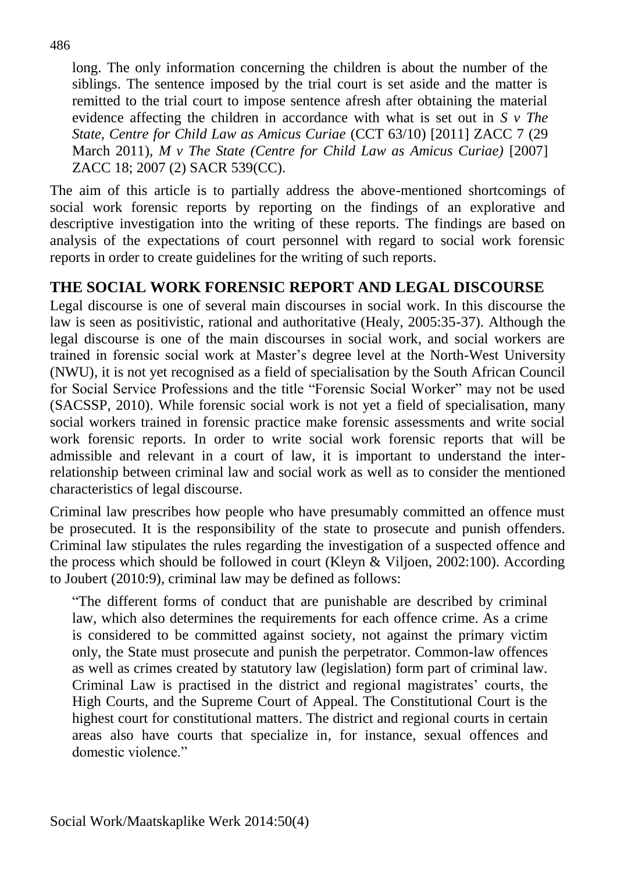long. The only information concerning the children is about the number of the siblings. The sentence imposed by the trial court is set aside and the matter is remitted to the trial court to impose sentence afresh after obtaining the material evidence affecting the children in accordance with what is set out in *S v The State, Centre for Child Law as Amicus Curiae* (CCT 63/10) [\[2011\] ZACC 7](http://www.saflii.org/cgi-bin/LawCite?cit=%5b2011%5d%20ZACC%207) (29 March 2011), *M v The State (Centre for Child Law as Amicus Curiae)* [2007] [ZACC 18;](http://www.saflii.org/za/cases/ZACC/2007/18.html) [2007 \(2\) SACR 539\(](http://www.saflii.org/cgi-bin/LawCite?cit=2007%20%282%29%20SACR%20539)CC).

The aim of this article is to partially address the above-mentioned shortcomings of social work forensic reports by reporting on the findings of an explorative and descriptive investigation into the writing of these reports. The findings are based on analysis of the expectations of court personnel with regard to social work forensic reports in order to create guidelines for the writing of such reports.

## **THE SOCIAL WORK FORENSIC REPORT AND LEGAL DISCOURSE**

Legal discourse is one of several main discourses in social work. In this discourse the law is seen as positivistic, rational and authoritative (Healy, 2005:35-37). Although the legal discourse is one of the main discourses in social work, and social workers are trained in forensic social work at Master's degree level at the North-West University (NWU), it is not yet recognised as a field of specialisation by the South African Council for Social Service Professions and the title "Forensic Social Worker" may not be used (SACSSP, 2010). While forensic social work is not yet a field of specialisation, many social workers trained in forensic practice make forensic assessments and write social work forensic reports. In order to write social work forensic reports that will be admissible and relevant in a court of law, it is important to understand the interrelationship between criminal law and social work as well as to consider the mentioned characteristics of legal discourse.

Criminal law prescribes how people who have presumably committed an offence must be prosecuted. It is the responsibility of the state to prosecute and punish offenders. Criminal law stipulates the rules regarding the investigation of a suspected offence and the process which should be followed in court (Kleyn & Viljoen, 2002:100). According to Joubert (2010:9), criminal law may be defined as follows:

"The different forms of conduct that are punishable are described by criminal law, which also determines the requirements for each offence crime. As a crime is considered to be committed against society, not against the primary victim only, the State must prosecute and punish the perpetrator. Common-law offences as well as crimes created by statutory law (legislation) form part of criminal law. Criminal Law is practised in the district and regional magistrates' courts, the High Courts, and the Supreme Court of Appeal. The Constitutional Court is the highest court for [constitutional matters.](http://en.wikipedia.org/wiki/Constitutional_law) The district and regional courts in certain areas also have courts that specialize in, for instance, sexual offences and domestic violence."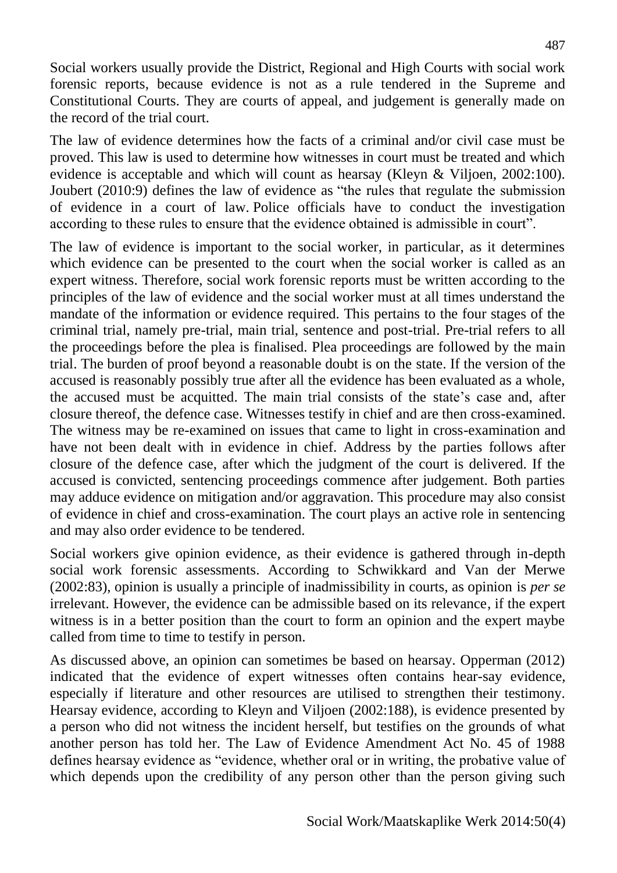Social workers usually provide the District, Regional and High Courts with social work forensic reports, because evidence is not as a rule tendered in the Supreme and Constitutional Courts. They are courts of appeal, and judgement is generally made on the record of the trial court.

The law of evidence determines how the facts of a criminal and/or civil case must be proved. This law is used to determine how witnesses in court must be treated and which evidence is acceptable and which will count as hearsay (Kleyn & Viljoen, 2002:100). Joubert (2010:9) defines the law of evidence as "the rules that regulate the submission of evidence in a court of law. Police officials have to conduct the investigation according to these rules to ensure that the evidence obtained is admissible in court".

The law of evidence is important to the social worker, in particular, as it determines which evidence can be presented to the court when the social worker is called as an expert witness. Therefore, social work forensic reports must be written according to the principles of the law of evidence and the social worker must at all times understand the mandate of the information or evidence required. This pertains to the four stages of the criminal trial, namely pre-trial, main trial, sentence and post-trial. Pre-trial refers to all the proceedings before the plea is finalised. Plea proceedings are followed by the main trial. The burden of proof beyond a reasonable doubt is on the state. If the version of the accused is reasonably possibly true after all the evidence has been evaluated as a whole, the accused must be acquitted. The main trial consists of the state's case and, after closure thereof, the defence case. Witnesses testify in chief and are then cross-examined. The witness may be re-examined on issues that came to light in cross-examination and have not been dealt with in evidence in chief. Address by the parties follows after closure of the defence case, after which the judgment of the court is delivered. If the accused is convicted, sentencing proceedings commence after judgement. Both parties may adduce evidence on mitigation and/or aggravation. This procedure may also consist of evidence in chief and cross-examination. The court plays an active role in sentencing and may also order evidence to be tendered.

Social workers give opinion evidence, as their evidence is gathered through in-depth social work forensic assessments. According to Schwikkard and Van der Merwe (2002:83), opinion is usually a principle of inadmissibility in courts, as opinion is *per se* irrelevant. However, the evidence can be admissible based on its relevance, if the expert witness is in a better position than the court to form an opinion and the expert maybe called from time to time to testify in person.

As discussed above, an opinion can sometimes be based on hearsay. Opperman (2012) indicated that the evidence of expert witnesses often contains hear-say evidence, especially if literature and other resources are utilised to strengthen their testimony. Hearsay evidence, according to Kleyn and Viljoen (2002:188), is evidence presented by a person who did not witness the incident herself, but testifies on the grounds of what another person has told her. The Law of Evidence Amendment Act No. 45 of 1988 defines hearsay evidence as "evidence, whether oral or in writing, the probative value of which depends upon the credibility of any person other than the person giving such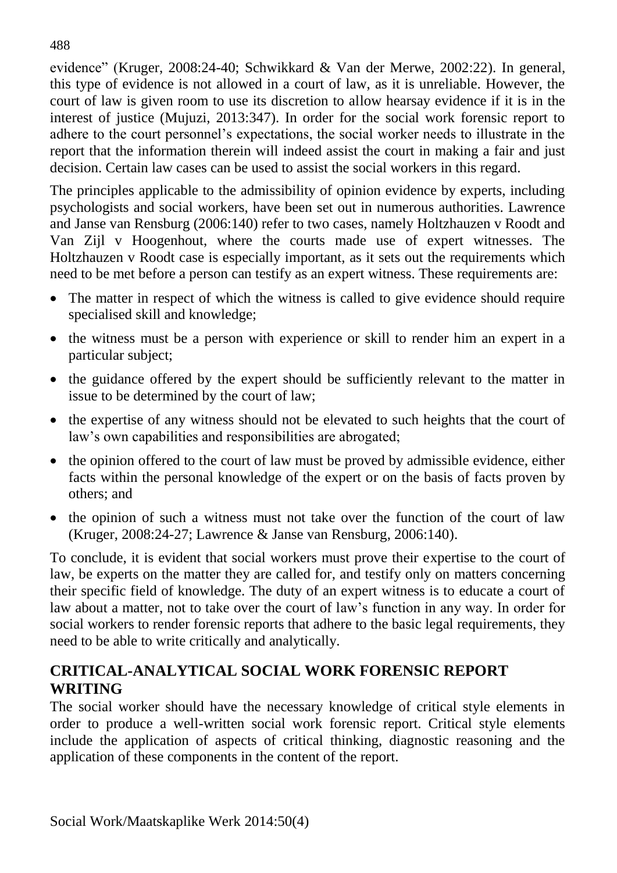evidence" (Kruger, 2008:24-40; Schwikkard & Van der Merwe, 2002:22). In general, this type of evidence is not allowed in a court of law, as it is unreliable. However, the court of law is given room to use its discretion to allow hearsay evidence if it is in the interest of justice (Mujuzi, 2013:347). In order for the social work forensic report to adhere to the court personnel's expectations, the social worker needs to illustrate in the report that the information therein will indeed assist the court in making a fair and just decision. Certain law cases can be used to assist the social workers in this regard.

The principles applicable to the admissibility of opinion evidence by experts, including psychologists and social workers, have been set out in numerous authorities. Lawrence and Janse van Rensburg (2006:140) refer to two cases, namely Holtzhauzen v Roodt and Van Zijl v Hoogenhout, where the courts made use of expert witnesses. The Holtzhauzen v Roodt case is especially important, as it sets out the requirements which need to be met before a person can testify as an expert witness. These requirements are:

- The matter in respect of which the witness is called to give evidence should require specialised skill and knowledge;
- the witness must be a person with experience or skill to render him an expert in a particular subject;
- the guidance offered by the expert should be sufficiently relevant to the matter in issue to be determined by the court of law;
- the expertise of any witness should not be elevated to such heights that the court of law's own capabilities and responsibilities are abrogated;
- the opinion offered to the court of law must be proved by admissible evidence, either facts within the personal knowledge of the expert or on the basis of facts proven by others; and
- the opinion of such a witness must not take over the function of the court of law (Kruger, 2008:24-27; Lawrence & Janse van Rensburg, 2006:140).

To conclude, it is evident that social workers must prove their expertise to the court of law, be experts on the matter they are called for, and testify only on matters concerning their specific field of knowledge. The duty of an expert witness is to educate a court of law about a matter, not to take over the court of law's function in any way. In order for social workers to render forensic reports that adhere to the basic legal requirements, they need to be able to write critically and analytically.

# **CRITICAL-ANALYTICAL SOCIAL WORK FORENSIC REPORT WRITING**

The social worker should have the necessary knowledge of critical style elements in order to produce a well-written social work forensic report. Critical style elements include the application of aspects of critical thinking, diagnostic reasoning and the application of these components in the content of the report.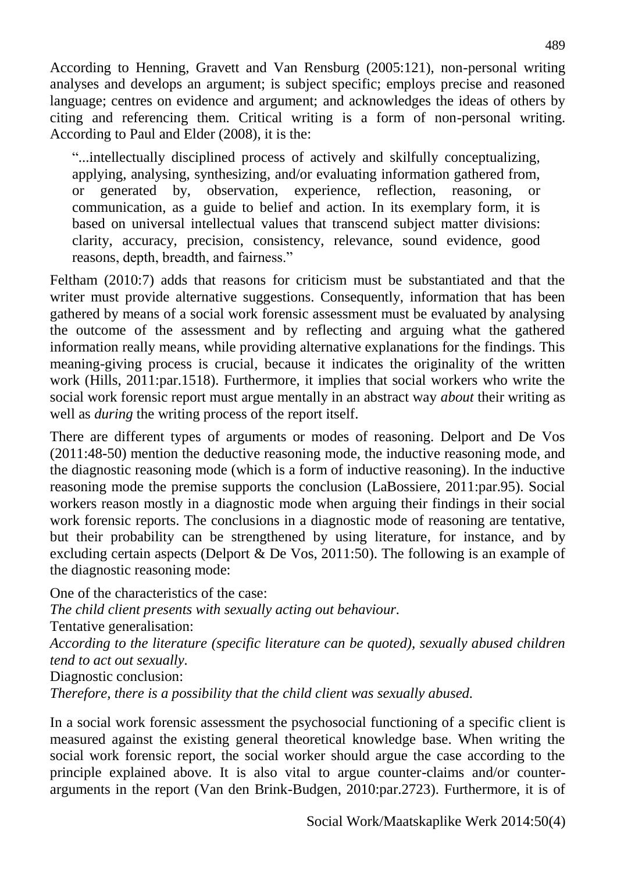According to Henning, Gravett and Van Rensburg (2005:121), non-personal writing analyses and develops an argument; is subject specific; employs precise and reasoned language; centres on evidence and argument; and acknowledges the ideas of others by citing and referencing them. Critical writing is a form of non-personal writing. According to Paul and Elder (2008), it is the:

"...intellectually disciplined process of actively and skilfully conceptualizing, applying, analysing, synthesizing, and/or evaluating information gathered from, or generated by, observation, experience, reflection, reasoning, or communication, as a guide to belief and action. In its exemplary form, it is based on universal intellectual values that transcend subject matter divisions: clarity, accuracy, precision, consistency, relevance, sound evidence, good reasons, depth, breadth, and fairness."

Feltham (2010:7) adds that reasons for criticism must be substantiated and that the writer must provide alternative suggestions. Consequently, information that has been gathered by means of a social work forensic assessment must be evaluated by analysing the outcome of the assessment and by reflecting and arguing what the gathered information really means, while providing alternative explanations for the findings. This meaning-giving process is crucial, because it indicates the originality of the written work (Hills, 2011:par.1518). Furthermore, it implies that social workers who write the social work forensic report must argue mentally in an abstract way *about* their writing as well as *during* the writing process of the report itself.

There are different types of arguments or modes of reasoning. Delport and De Vos (2011:48-50) mention the deductive reasoning mode, the inductive reasoning mode, and the diagnostic reasoning mode (which is a form of inductive reasoning). In the inductive reasoning mode the premise supports the conclusion (LaBossiere, 2011:par.95). Social workers reason mostly in a diagnostic mode when arguing their findings in their social work forensic reports. The conclusions in a diagnostic mode of reasoning are tentative, but their probability can be strengthened by using literature, for instance, and by excluding certain aspects (Delport & De Vos, 2011:50). The following is an example of the diagnostic reasoning mode:

One of the characteristics of the case: *The child client presents with sexually acting out behaviour.* Tentative generalisation: *According to the literature (specific literature can be quoted), sexually abused children tend to act out sexually.* Diagnostic conclusion: *Therefore, there is a possibility that the child client was sexually abused.*

In a social work forensic assessment the psychosocial functioning of a specific client is measured against the existing general theoretical knowledge base. When writing the social work forensic report, the social worker should argue the case according to the principle explained above. It is also vital to argue counter-claims and/or counterarguments in the report (Van den Brink-Budgen, 2010:par.2723). Furthermore, it is of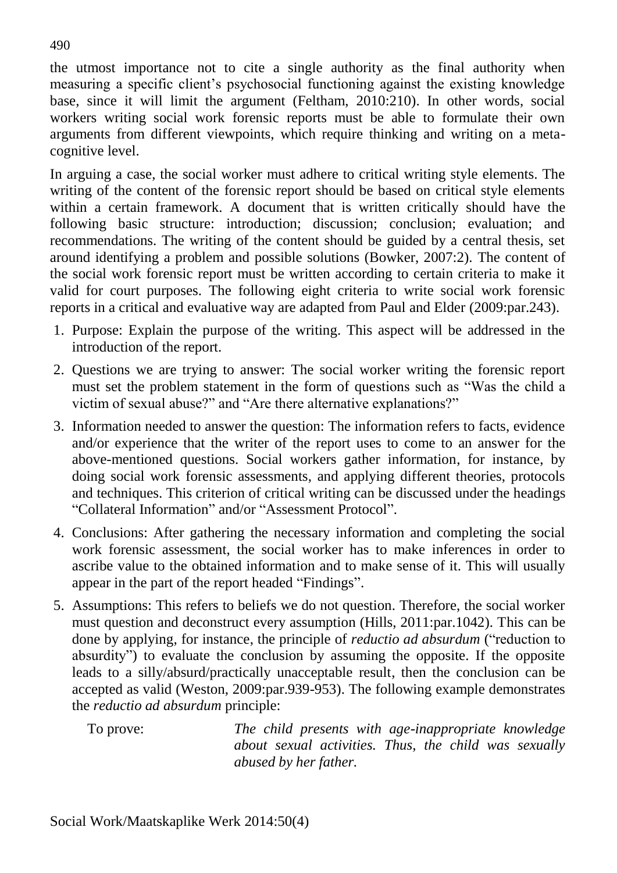the utmost importance not to cite a single authority as the final authority when measuring a specific client's psychosocial functioning against the existing knowledge base, since it will limit the argument (Feltham, 2010:210). In other words, social workers writing social work forensic reports must be able to formulate their own arguments from different viewpoints, which require thinking and writing on a metacognitive level.

In arguing a case, the social worker must adhere to critical writing style elements. The writing of the content of the forensic report should be based on critical style elements within a certain framework. A document that is written critically should have the following basic structure: introduction; discussion; conclusion; evaluation; and recommendations. The writing of the content should be guided by a central thesis, set around identifying a problem and possible solutions (Bowker, 2007:2). The content of the social work forensic report must be written according to certain criteria to make it valid for court purposes. The following eight criteria to write social work forensic reports in a critical and evaluative way are adapted from Paul and Elder (2009:par.243).

- 1. Purpose: Explain the purpose of the writing. This aspect will be addressed in the introduction of the report.
- 2. Questions we are trying to answer: The social worker writing the forensic report must set the problem statement in the form of questions such as "Was the child a victim of sexual abuse?" and "Are there alternative explanations?"
- 3. Information needed to answer the question: The information refers to facts, evidence and/or experience that the writer of the report uses to come to an answer for the above-mentioned questions. Social workers gather information, for instance, by doing social work forensic assessments, and applying different theories, protocols and techniques. This criterion of critical writing can be discussed under the headings "Collateral Information" and/or "Assessment Protocol".
- 4. Conclusions: After gathering the necessary information and completing the social work forensic assessment, the social worker has to make inferences in order to ascribe value to the obtained information and to make sense of it. This will usually appear in the part of the report headed "Findings".
- 5. Assumptions: This refers to beliefs we do not question. Therefore, the social worker must question and deconstruct every assumption (Hills, 2011:par.1042). This can be done by applying, for instance, the principle of *reductio ad absurdum* ("reduction to absurdity") to evaluate the conclusion by assuming the opposite. If the opposite leads to a silly/absurd/practically unacceptable result, then the conclusion can be accepted as valid (Weston, 2009:par.939-953). The following example demonstrates the *reductio ad absurdum* principle:

To prove: *The child presents with age-inappropriate knowledge about sexual activities. Thus, the child was sexually abused by her father.*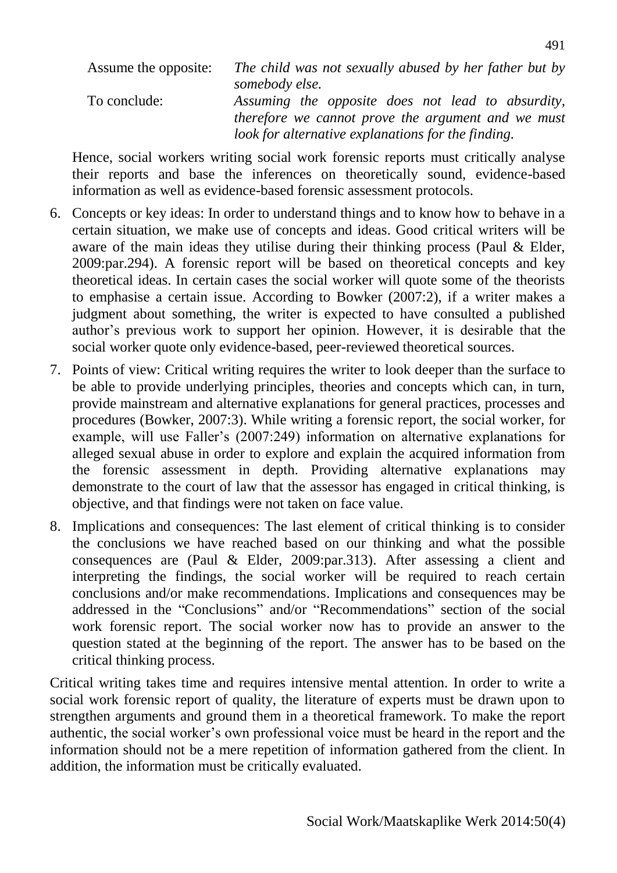Assume the opposite: *The child was not sexually abused by her father but by somebody else.* To conclude: *Assuming the opposite does not lead to absurdity, therefore we cannot prove the argument and we must look for alternative explanations for the finding.*

Hence, social workers writing social work forensic reports must critically analyse their reports and base the inferences on theoretically sound, evidence-based information as well as evidence-based forensic assessment protocols.

- 6. Concepts or key ideas: In order to understand things and to know how to behave in a certain situation, we make use of concepts and ideas. Good critical writers will be aware of the main ideas they utilise during their thinking process (Paul & Elder, 2009:par.294). A forensic report will be based on theoretical concepts and key theoretical ideas. In certain cases the social worker will quote some of the theorists to emphasise a certain issue. According to Bowker (2007:2), if a writer makes a judgment about something, the writer is expected to have consulted a published author's previous work to support her opinion. However, it is desirable that the social worker quote only evidence-based, peer-reviewed theoretical sources.
- 7. Points of view: Critical writing requires the writer to look deeper than the surface to be able to provide underlying principles, theories and concepts which can, in turn, provide mainstream and alternative explanations for general practices, processes and procedures (Bowker, 2007:3). While writing a forensic report, the social worker, for example, will use Faller's (2007:249) information on alternative explanations for alleged sexual abuse in order to explore and explain the acquired information from the forensic assessment in depth. Providing alternative explanations may demonstrate to the court of law that the assessor has engaged in critical thinking, is objective, and that findings were not taken on face value.
- 8. Implications and consequences: The last element of critical thinking is to consider the conclusions we have reached based on our thinking and what the possible consequences are (Paul & Elder, 2009:par.313). After assessing a client and interpreting the findings, the social worker will be required to reach certain conclusions and/or make recommendations. Implications and consequences may be addressed in the "Conclusions" and/or "Recommendations" section of the social work forensic report. The social worker now has to provide an answer to the question stated at the beginning of the report. The answer has to be based on the critical thinking process.

Critical writing takes time and requires intensive mental attention. In order to write a social work forensic report of quality, the literature of experts must be drawn upon to strengthen arguments and ground them in a theoretical framework. To make the report authentic, the social worker's own professional voice must be heard in the report and the information should not be a mere repetition of information gathered from the client. In addition, the information must be critically evaluated.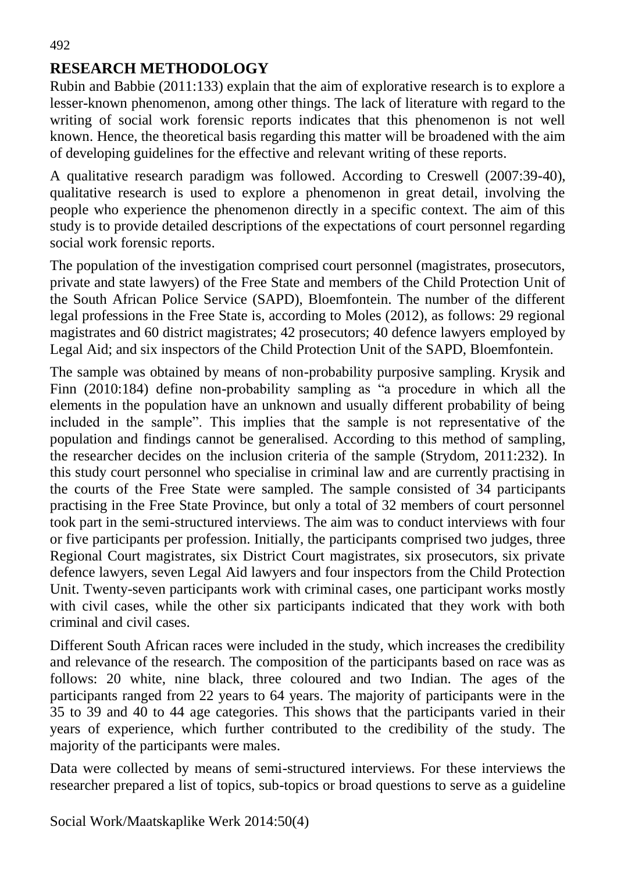# **RESEARCH METHODOLOGY**

Rubin and Babbie (2011:133) explain that the aim of explorative research is to explore a lesser-known phenomenon, among other things. The lack of literature with regard to the writing of social work forensic reports indicates that this phenomenon is not well known. Hence, the theoretical basis regarding this matter will be broadened with the aim of developing guidelines for the effective and relevant writing of these reports.

A qualitative research paradigm was followed. According to Creswell (2007:39-40), qualitative research is used to explore a phenomenon in great detail, involving the people who experience the phenomenon directly in a specific context. The aim of this study is to provide detailed descriptions of the expectations of court personnel regarding social work forensic reports.

The population of the investigation comprised court personnel (magistrates, prosecutors, private and state lawyers) of the Free State and members of the Child Protection Unit of the South African Police Service (SAPD), Bloemfontein. The number of the different legal professions in the Free State is, according to Moles (2012), as follows: 29 regional magistrates and 60 district magistrates; 42 prosecutors; 40 defence lawyers employed by Legal Aid; and six inspectors of the Child Protection Unit of the SAPD, Bloemfontein.

The sample was obtained by means of non-probability purposive sampling. Krysik and Finn (2010:184) define non-probability sampling as "a procedure in which all the elements in the population have an unknown and usually different probability of being included in the sample". This implies that the sample is not representative of the population and findings cannot be generalised. According to this method of sampling, the researcher decides on the inclusion criteria of the sample (Strydom, 2011:232). In this study court personnel who specialise in criminal law and are currently practising in the courts of the Free State were sampled. The sample consisted of 34 participants practising in the Free State Province, but only a total of 32 members of court personnel took part in the semi-structured interviews. The aim was to conduct interviews with four or five participants per profession. Initially, the participants comprised two judges, three Regional Court magistrates, six District Court magistrates, six prosecutors, six private defence lawyers, seven Legal Aid lawyers and four inspectors from the Child Protection Unit. Twenty-seven participants work with criminal cases, one participant works mostly with civil cases, while the other six participants indicated that they work with both criminal and civil cases.

Different South African races were included in the study, which increases the credibility and relevance of the research. The composition of the participants based on race was as follows: 20 white, nine black, three coloured and two Indian. The ages of the participants ranged from 22 years to 64 years. The majority of participants were in the 35 to 39 and 40 to 44 age categories. This shows that the participants varied in their years of experience, which further contributed to the credibility of the study. The majority of the participants were males.

Data were collected by means of semi-structured interviews. For these interviews the researcher prepared a list of topics, sub-topics or broad questions to serve as a guideline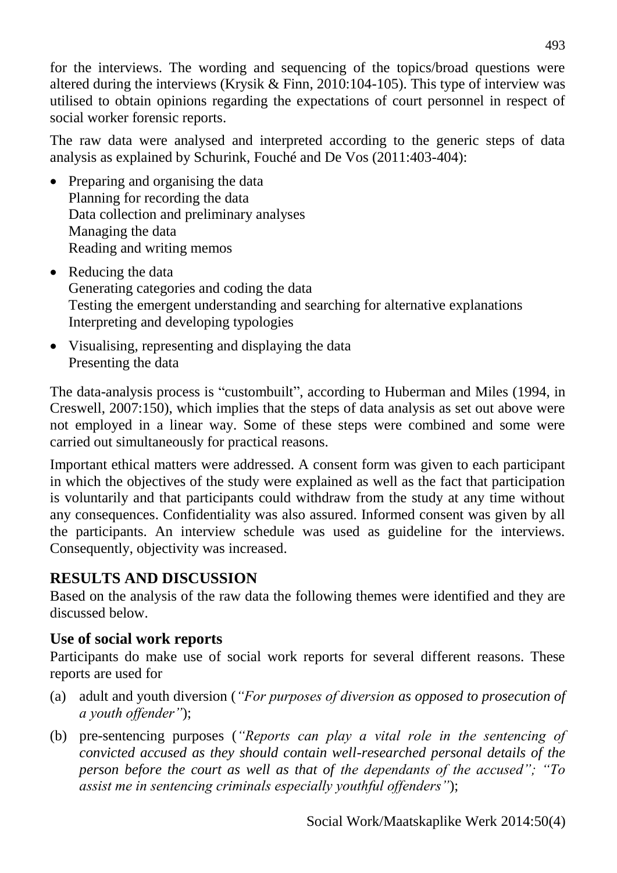for the interviews. The wording and sequencing of the topics/broad questions were altered during the interviews (Krysik & Finn, 2010:104-105). This type of interview was utilised to obtain opinions regarding the expectations of court personnel in respect of social worker forensic reports.

The raw data were analysed and interpreted according to the generic steps of data analysis as explained by Schurink, Fouché and De Vos (2011:403-404):

- Preparing and organising the data Planning for recording the data Data collection and preliminary analyses Managing the data Reading and writing memos
- Reducing the data Generating categories and coding the data Testing the emergent understanding and searching for alternative explanations Interpreting and developing typologies
- Visualising, representing and displaying the data Presenting the data

The data-analysis process is "custombuilt", according to Huberman and Miles (1994, in Creswell, 2007:150), which implies that the steps of data analysis as set out above were not employed in a linear way. Some of these steps were combined and some were carried out simultaneously for practical reasons.

Important ethical matters were addressed. A consent form was given to each participant in which the objectives of the study were explained as well as the fact that participation is voluntarily and that participants could withdraw from the study at any time without any consequences. Confidentiality was also assured. Informed consent was given by all the participants. An interview schedule was used as guideline for the interviews. Consequently, objectivity was increased.

# **RESULTS AND DISCUSSION**

Based on the analysis of the raw data the following themes were identified and they are discussed below.

## **Use of social work reports**

Participants do make use of social work reports for several different reasons. These reports are used for

- (a) adult and youth diversion (*"For purposes of diversion as opposed to prosecution of a youth offender"*);
- (b) pre-sentencing purposes (*"Reports can play a vital role in the sentencing of convicted accused as they should contain well-researched personal details of the person before the court as well as that of the dependants of the accused"; "To assist me in sentencing criminals especially youthful offenders"*);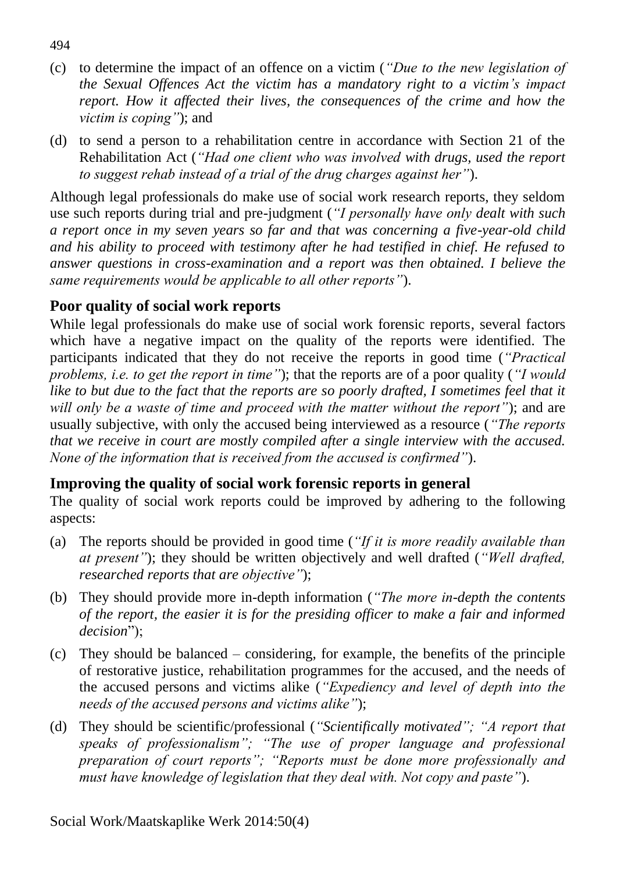- (c) to determine the impact of an offence on a victim (*"Due to the new legislation of the Sexual Offences Act the victim has a mandatory right to a victim's impact report. How it affected their lives, the consequences of the crime and how the victim is coping"*); and
- (d) to send a person to a rehabilitation centre in accordance with Section 21 of the Rehabilitation Act (*"Had one client who was involved with drugs, used the report to suggest rehab instead of a trial of the drug charges against her"*).

Although legal professionals do make use of social work research reports, they seldom use such reports during trial and pre-judgment (*"I personally have only dealt with such a report once in my seven years so far and that was concerning a five-year-old child and his ability to proceed with testimony after he had testified in chief. He refused to answer questions in cross-examination and a report was then obtained. I believe the same requirements would be applicable to all other reports"*).

## **Poor quality of social work reports**

While legal professionals do make use of social work forensic reports, several factors which have a negative impact on the quality of the reports were identified. The participants indicated that they do not receive the reports in good time (*"Practical problems, i.e. to get the report in time"*); that the reports are of a poor quality (*"I would*  like to but due to the fact that the reports are so poorly drafted, I sometimes feel that it *will only be a waste of time and proceed with the matter without the report"*); and are usually subjective, with only the accused being interviewed as a resource (*"The reports that we receive in court are mostly compiled after a single interview with the accused. None of the information that is received from the accused is confirmed"*).

## **Improving the quality of social work forensic reports in general**

The quality of social work reports could be improved by adhering to the following aspects:

- (a) The reports should be provided in good time (*"If it is more readily available than at present"*); they should be written objectively and well drafted (*"Well drafted, researched reports that are objective"*);
- (b) They should provide more in-depth information (*"The more in-depth the contents of the report, the easier it is for the presiding officer to make a fair and informed decision*");
- (c) They should be balanced considering, for example, the benefits of the principle of restorative justice, rehabilitation programmes for the accused, and the needs of the accused persons and victims alike (*"Expediency and level of depth into the needs of the accused persons and victims alike"*);
- (d) They should be scientific/professional (*"Scientifically motivated"; "A report that speaks of professionalism"; "The use of proper language and professional preparation of court reports"; "Reports must be done more professionally and must have knowledge of legislation that they deal with. Not copy and paste"*).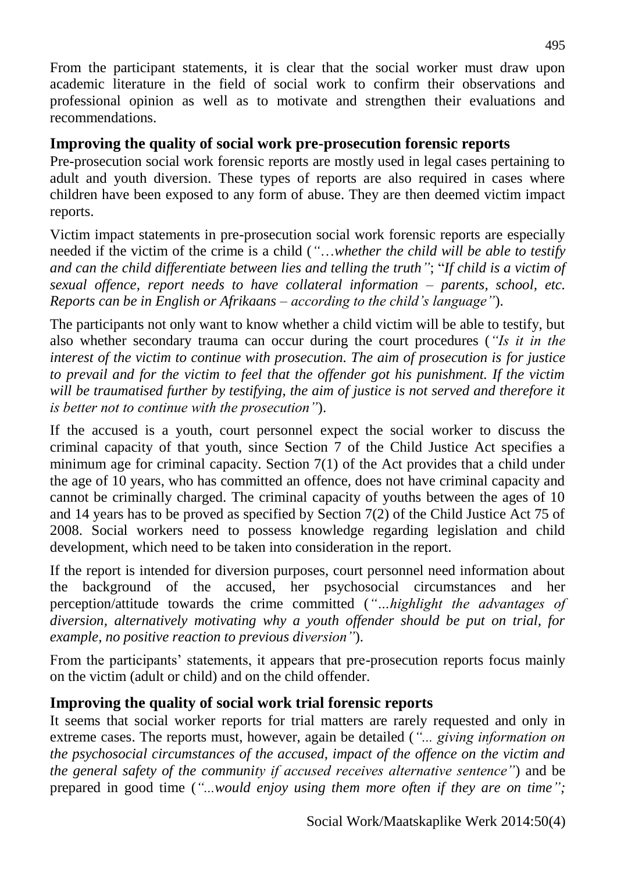From the participant statements, it is clear that the social worker must draw upon academic literature in the field of social work to confirm their observations and professional opinion as well as to motivate and strengthen their evaluations and recommendations.

## **Improving the quality of social work pre-prosecution forensic reports**

Pre-prosecution social work forensic reports are mostly used in legal cases pertaining to adult and youth diversion. These types of reports are also required in cases where children have been exposed to any form of abuse. They are then deemed victim impact reports.

Victim impact statements in pre-prosecution social work forensic reports are especially needed if the victim of the crime is a child (*"*…*whether the child will be able to testify and can the child differentiate between lies and telling the truth"*; "*If child is a victim of sexual offence, report needs to have collateral information – parents, school, etc. Reports can be in English or Afrikaans – according to the child's language"*).

The participants not only want to know whether a child victim will be able to testify, but also whether secondary trauma can occur during the court procedures (*"Is it in the interest of the victim to continue with prosecution. The aim of prosecution is for justice to prevail and for the victim to feel that the offender got his punishment. If the victim will be traumatised further by testifying, the aim of justice is not served and therefore it is better not to continue with the prosecution"*).

If the accused is a youth, court personnel expect the social worker to discuss the criminal capacity of that youth, since Section 7 of the Child Justice Act specifies a minimum age for criminal capacity. Section 7(1) of the Act provides that a child under the age of 10 years, who has committed an offence, does not have criminal capacity and cannot be criminally charged. The criminal capacity of youths between the ages of 10 and 14 years has to be proved as specified by Section 7(2) of the Child Justice Act 75 of 2008. Social workers need to possess knowledge regarding legislation and child development, which need to be taken into consideration in the report.

If the report is intended for diversion purposes, court personnel need information about the background of the accused, her psychosocial circumstances and her perception/attitude towards the crime committed (*"…highlight the advantages of diversion, alternatively motivating why a youth offender should be put on trial, for example, no positive reaction to previous diversion"*).

From the participants' statements, it appears that pre-prosecution reports focus mainly on the victim (adult or child) and on the child offender.

# **Improving the quality of social work trial forensic reports**

It seems that social worker reports for trial matters are rarely requested and only in extreme cases. The reports must, however, again be detailed (*"... giving information on the psychosocial circumstances of the accused, impact of the offence on the victim and the general safety of the community if accused receives alternative sentence"*) and be prepared in good time (*"...would enjoy using them more often if they are on time";*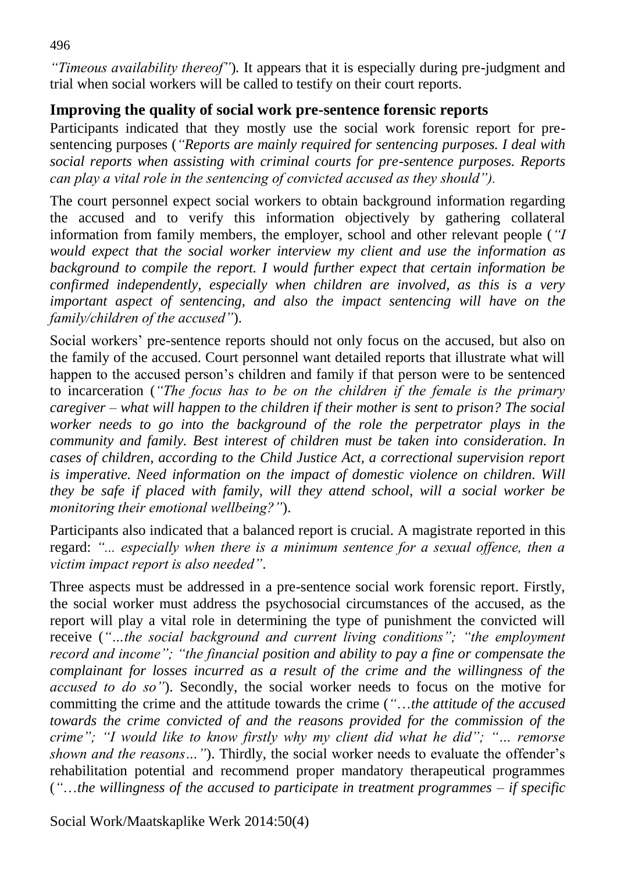*"Timeous availability thereof"*)*.* It appears that it is especially during pre-judgment and trial when social workers will be called to testify on their court reports.

## **Improving the quality of social work pre-sentence forensic reports**

Participants indicated that they mostly use the social work forensic report for presentencing purposes (*"Reports are mainly required for sentencing purposes. I deal with social reports when assisting with criminal courts for pre-sentence purposes. Reports can play a vital role in the sentencing of convicted accused as they should").*

The court personnel expect social workers to obtain background information regarding the accused and to verify this information objectively by gathering collateral information from family members, the employer, school and other relevant people (*"I would expect that the social worker interview my client and use the information as background to compile the report. I would further expect that certain information be confirmed independently, especially when children are involved, as this is a very important aspect of sentencing, and also the impact sentencing will have on the family/children of the accused"*).

Social workers' pre-sentence reports should not only focus on the accused, but also on the family of the accused. Court personnel want detailed reports that illustrate what will happen to the accused person's children and family if that person were to be sentenced to incarceration (*"The focus has to be on the children if the female is the primary caregiver – what will happen to the children if their mother is sent to prison? The social worker needs to go into the background of the role the perpetrator plays in the community and family. Best interest of children must be taken into consideration. In cases of children, according to the Child Justice Act, a correctional supervision report is imperative. Need information on the impact of domestic violence on children. Will they be safe if placed with family, will they attend school, will a social worker be monitoring their emotional wellbeing?"*).

Participants also indicated that a balanced report is crucial. A magistrate reported in this regard: *"... especially when there is a minimum sentence for a sexual offence, then a victim impact report is also needed"*.

Three aspects must be addressed in a pre-sentence social work forensic report. Firstly, the social worker must address the psychosocial circumstances of the accused, as the report will play a vital role in determining the type of punishment the convicted will receive (*"…the social background and current living conditions"; "the employment record and income"; "the financial position and ability to pay a fine or compensate the complainant for losses incurred as a result of the crime and the willingness of the accused to do so"*). Secondly, the social worker needs to focus on the motive for committing the crime and the attitude towards the crime (*"*…*the attitude of the accused towards the crime convicted of and the reasons provided for the commission of the crime"; "I would like to know firstly why my client did what he did"; "… remorse shown and the reasons…"*). Thirdly, the social worker needs to evaluate the offender's rehabilitation potential and recommend proper mandatory therapeutical programmes (*"*…*the willingness of the accused to participate in treatment programmes – if specific* 

Social Work/Maatskaplike Werk 2014:50(4)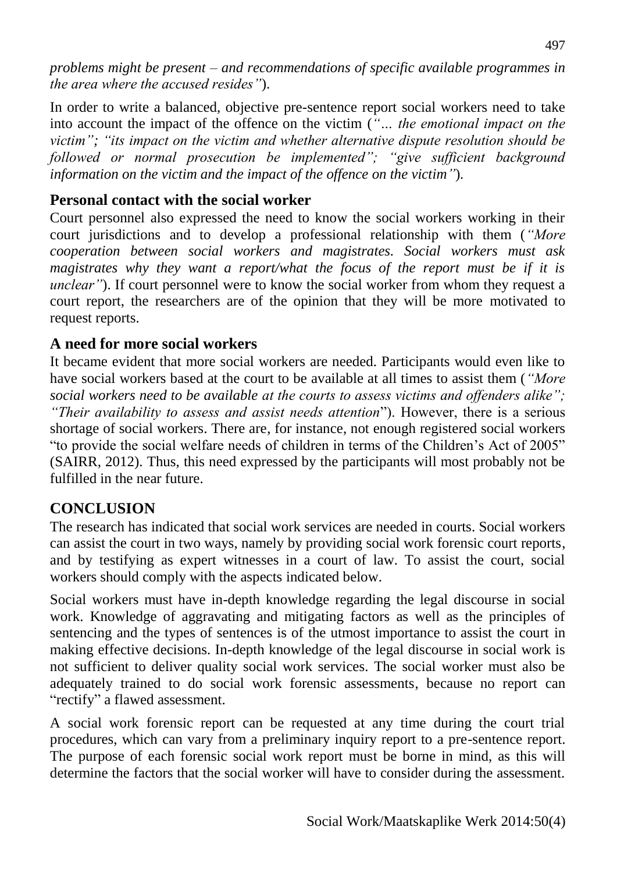*problems might be present – and recommendations of specific available programmes in the area where the accused resides"*).

In order to write a balanced, objective pre-sentence report social workers need to take into account the impact of the offence on the victim (*"… the emotional impact on the victim"; "its impact on the victim and whether alternative dispute resolution should be followed or normal prosecution be implemented"; "give sufficient background information on the victim and the impact of the offence on the victim"*)*.* 

## **Personal contact with the social worker**

Court personnel also expressed the need to know the social workers working in their court jurisdictions and to develop a professional relationship with them (*"More cooperation between social workers and magistrates. Social workers must ask magistrates why they want a report/what the focus of the report must be if it is unclear*"). If court personnel were to know the social worker from whom they request a court report, the researchers are of the opinion that they will be more motivated to request reports.

#### **A need for more social workers**

It became evident that more social workers are needed. Participants would even like to have social workers based at the court to be available at all times to assist them (*"More social workers need to be available at the courts to assess victims and offenders alike"; "Their availability to assess and assist needs attention*"). However, there is a serious shortage of social workers. There are, for instance, not enough registered social workers "to provide the social welfare needs of children in terms of the Children's Act of 2005" (SAIRR, 2012). Thus, this need expressed by the participants will most probably not be fulfilled in the near future.

# **CONCLUSION**

The research has indicated that social work services are needed in courts. Social workers can assist the court in two ways, namely by providing social work forensic court reports, and by testifying as expert witnesses in a court of law. To assist the court, social workers should comply with the aspects indicated below.

Social workers must have in-depth knowledge regarding the legal discourse in social work. Knowledge of aggravating and mitigating factors as well as the principles of sentencing and the types of sentences is of the utmost importance to assist the court in making effective decisions. In-depth knowledge of the legal discourse in social work is not sufficient to deliver quality social work services. The social worker must also be adequately trained to do social work forensic assessments, because no report can "rectify" a flawed assessment.

A social work forensic report can be requested at any time during the court trial procedures, which can vary from a preliminary inquiry report to a pre-sentence report. The purpose of each forensic social work report must be borne in mind, as this will determine the factors that the social worker will have to consider during the assessment.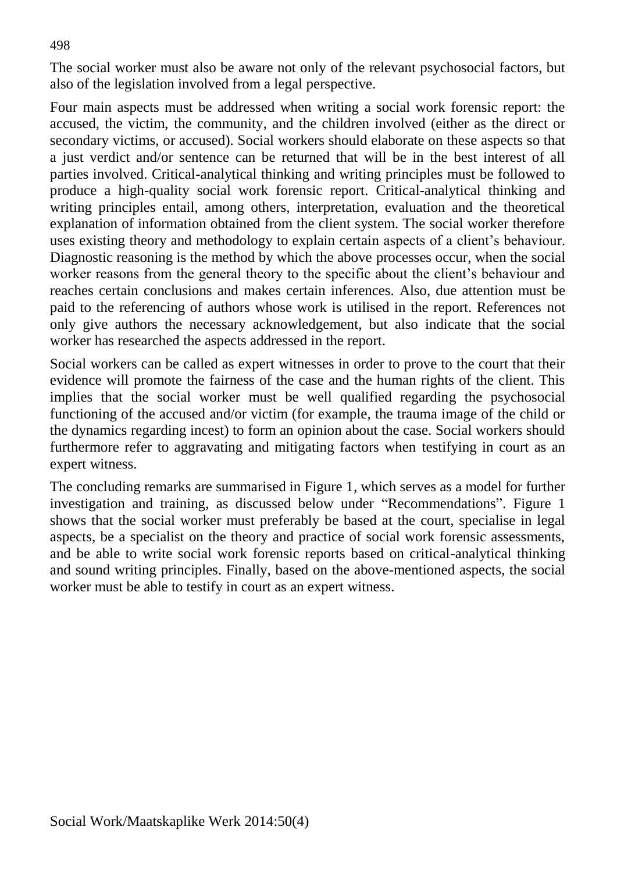The social worker must also be aware not only of the relevant psychosocial factors, but also of the legislation involved from a legal perspective.

Four main aspects must be addressed when writing a social work forensic report: the accused, the victim, the community, and the children involved (either as the direct or secondary victims, or accused). Social workers should elaborate on these aspects so that a just verdict and/or sentence can be returned that will be in the best interest of all parties involved. Critical-analytical thinking and writing principles must be followed to produce a high-quality social work forensic report. Critical-analytical thinking and writing principles entail, among others, interpretation, evaluation and the theoretical explanation of information obtained from the client system. The social worker therefore uses existing theory and methodology to explain certain aspects of a client's behaviour. Diagnostic reasoning is the method by which the above processes occur, when the social worker reasons from the general theory to the specific about the client's behaviour and reaches certain conclusions and makes certain inferences. Also, due attention must be paid to the referencing of authors whose work is utilised in the report. References not only give authors the necessary acknowledgement, but also indicate that the social worker has researched the aspects addressed in the report.

Social workers can be called as expert witnesses in order to prove to the court that their evidence will promote the fairness of the case and the human rights of the client. This implies that the social worker must be well qualified regarding the psychosocial functioning of the accused and/or victim (for example, the trauma image of the child or the dynamics regarding incest) to form an opinion about the case. Social workers should furthermore refer to aggravating and mitigating factors when testifying in court as an expert witness.

The concluding remarks are summarised in Figure 1, which serves as a model for further investigation and training, as discussed below under "Recommendations". Figure 1 shows that the social worker must preferably be based at the court, specialise in legal aspects, be a specialist on the theory and practice of social work forensic assessments, and be able to write social work forensic reports based on critical-analytical thinking and sound writing principles. Finally, based on the above-mentioned aspects, the social worker must be able to testify in court as an expert witness.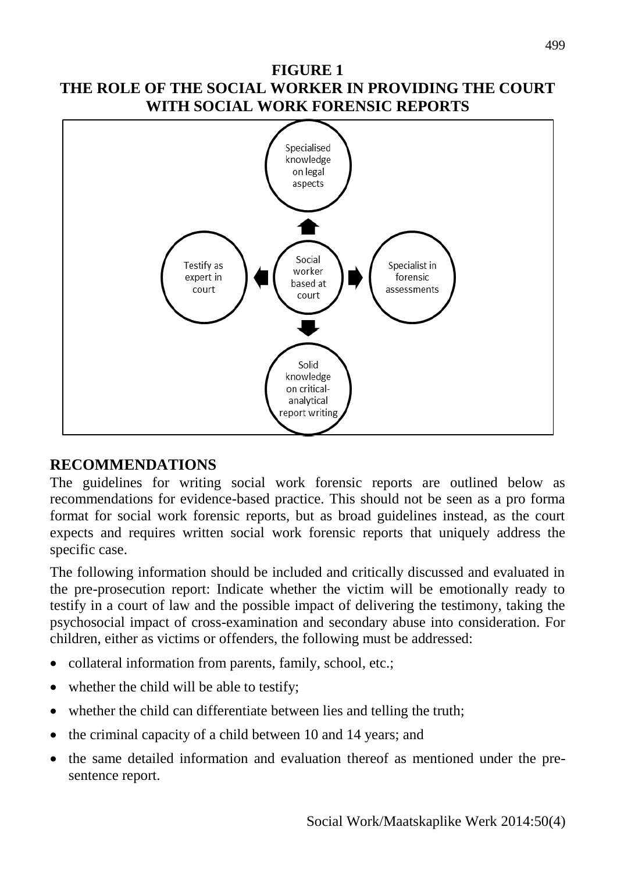#### **FIGURE 1 THE ROLE OF THE SOCIAL WORKER IN PROVIDING THE COURT WITH SOCIAL WORK FORENSIC REPORTS**



#### **RECOMMENDATIONS**

The guidelines for writing social work forensic reports are outlined below as recommendations for evidence-based practice. This should not be seen as a pro forma format for social work forensic reports, but as broad guidelines instead, as the court expects and requires written social work forensic reports that uniquely address the specific case.

The following information should be included and critically discussed and evaluated in the pre-prosecution report: Indicate whether the victim will be emotionally ready to testify in a court of law and the possible impact of delivering the testimony, taking the psychosocial impact of cross-examination and secondary abuse into consideration. For children, either as victims or offenders, the following must be addressed:

- collateral information from parents, family, school, etc.;
- whether the child will be able to testify;
- whether the child can differentiate between lies and telling the truth;
- the criminal capacity of a child between 10 and 14 years; and
- the same detailed information and evaluation thereof as mentioned under the presentence report.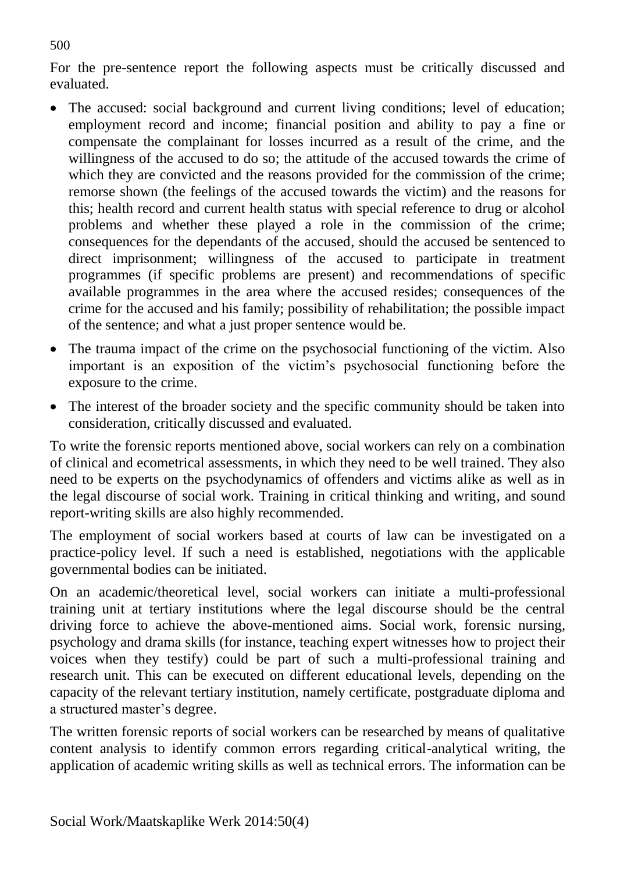For the pre-sentence report the following aspects must be critically discussed and evaluated.

- The accused: social background and current living conditions; level of education; employment record and income; financial position and ability to pay a fine or compensate the complainant for losses incurred as a result of the crime, and the willingness of the accused to do so; the attitude of the accused towards the crime of which they are convicted and the reasons provided for the commission of the crime; remorse shown (the feelings of the accused towards the victim) and the reasons for this; health record and current health status with special reference to drug or alcohol problems and whether these played a role in the commission of the crime; consequences for the dependants of the accused, should the accused be sentenced to direct imprisonment; willingness of the accused to participate in treatment programmes (if specific problems are present) and recommendations of specific available programmes in the area where the accused resides; consequences of the crime for the accused and his family; possibility of rehabilitation; the possible impact of the sentence; and what a just proper sentence would be.
- The trauma impact of the crime on the psychosocial functioning of the victim. Also important is an exposition of the victim's psychosocial functioning before the exposure to the crime.
- The interest of the broader society and the specific community should be taken into consideration, critically discussed and evaluated.

To write the forensic reports mentioned above, social workers can rely on a combination of clinical and ecometrical assessments, in which they need to be well trained. They also need to be experts on the psychodynamics of offenders and victims alike as well as in the legal discourse of social work. Training in critical thinking and writing, and sound report-writing skills are also highly recommended.

The employment of social workers based at courts of law can be investigated on a practice-policy level. If such a need is established, negotiations with the applicable governmental bodies can be initiated.

On an academic/theoretical level, social workers can initiate a multi-professional training unit at tertiary institutions where the legal discourse should be the central driving force to achieve the above-mentioned aims. Social work, forensic nursing, psychology and drama skills (for instance, teaching expert witnesses how to project their voices when they testify) could be part of such a multi-professional training and research unit. This can be executed on different educational levels, depending on the capacity of the relevant tertiary institution, namely certificate, postgraduate diploma and a structured master's degree.

The written forensic reports of social workers can be researched by means of qualitative content analysis to identify common errors regarding critical-analytical writing, the application of academic writing skills as well as technical errors. The information can be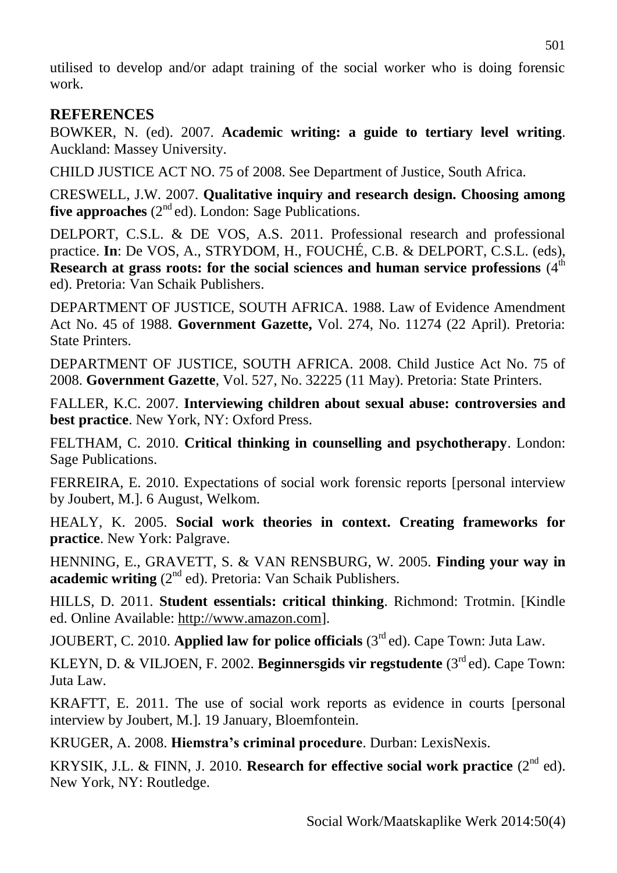utilised to develop and/or adapt training of the social worker who is doing forensic work.

#### **REFERENCES**

BOWKER, N. (ed). 2007. **Academic writing: a guide to tertiary level writing**. Auckland: Massey University.

CHILD JUSTICE ACT NO. 75 of 2008. See Department of Justice, South Africa.

CRESWELL, J.W. 2007. **Qualitative inquiry and research design. Choosing among five approaches** (2<sup>nd</sup> ed). London: Sage Publications.

DELPORT, C.S.L. & DE VOS, A.S. 2011. Professional research and professional practice. **In**: De VOS, A., STRYDOM, H., FOUCHÉ, C.B. & DELPORT, C.S.L. (eds), Research at grass roots: for the social sciences and human service professions (4<sup>th</sup>) ed). Pretoria: Van Schaik Publishers.

DEPARTMENT OF JUSTICE, SOUTH AFRICA. 1988. Law of Evidence Amendment Act No. 45 of 1988. **Government Gazette,** Vol. 274, No. 11274 (22 April). Pretoria: State Printers.

DEPARTMENT OF JUSTICE, SOUTH AFRICA. 2008. Child Justice Act No. 75 of 2008. **Government Gazette**, Vol. 527, No. 32225 (11 May). Pretoria: State Printers.

FALLER, K.C. 2007. **Interviewing children about sexual abuse: controversies and best practice**. New York, NY: Oxford Press.

FELTHAM, C. 2010. **Critical thinking in counselling and psychotherapy**. London: Sage Publications.

FERREIRA, E. 2010. Expectations of social work forensic reports [personal interview by Joubert, M.]. 6 August, Welkom.

HEALY, K. 2005. **Social work theories in context. Creating frameworks for practice**. New York: Palgrave.

HENNING, E., GRAVETT, S. & VAN RENSBURG, W. 2005. **Finding your way in**  academic writing (2<sup>nd</sup> ed). Pretoria: Van Schaik Publishers.

HILLS, D. 2011. **Student essentials: critical thinking**. Richmond: Trotmin. [Kindle ed. Online Available: [http://www.amazon.com\]](http://www.amazon.com/).

JOUBERT, C. 2010. Applied law for police officials (3<sup>rd</sup> ed). Cape Town: Juta Law.

KLEYN, D. & VILJOEN, F. 2002. Beginnersgids vir regstudente (3<sup>rd</sup> ed). Cape Town: Juta Law.

KRAFTT, E. 2011. The use of social work reports as evidence in courts [personal interview by Joubert, M.]. 19 January, Bloemfontein.

KRUGER, A. 2008. **Hiemstra's criminal procedure**. Durban: LexisNexis.

KRYSIK, J.L. & FINN, J. 2010. **Research for effective social work practice**  $(2^{nd}$  ed). New York, NY: Routledge.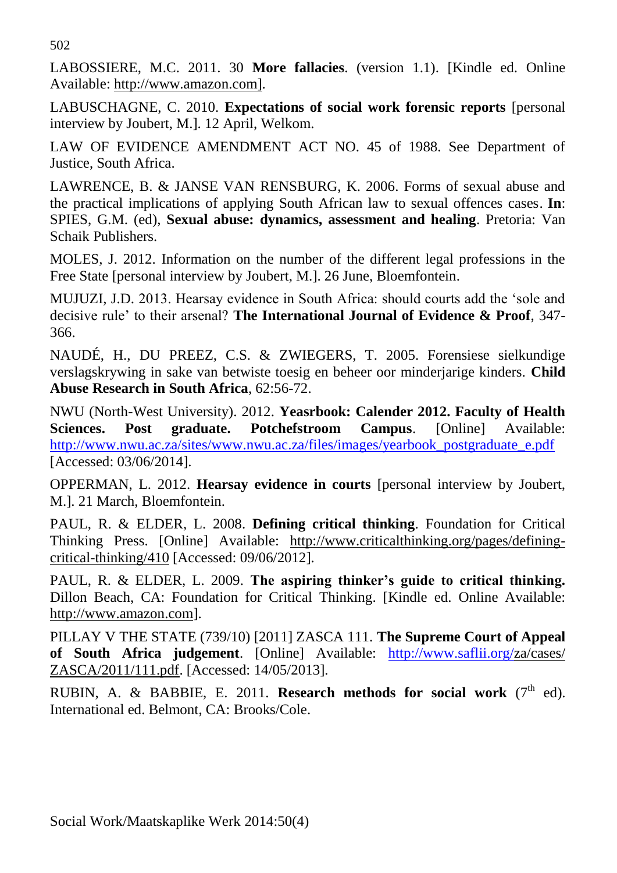502

LABOSSIERE, M.C. 2011. 30 **More fallacies**. (version 1.1). [Kindle ed. Online Available: http://www.amazon.com].

LABUSCHAGNE, C. 2010. **Expectations of social work forensic reports** [personal interview by Joubert, M.]. 12 April, Welkom.

LAW OF EVIDENCE AMENDMENT ACT NO. 45 of 1988. See Department of Justice, South Africa.

LAWRENCE, B. & JANSE VAN RENSBURG, K. 2006. Forms of sexual abuse and the practical implications of applying South African law to sexual offences cases. **In**: SPIES, G.M. (ed), **Sexual abuse: dynamics, assessment and healing**. Pretoria: Van Schaik Publishers.

MOLES, J. 2012. Information on the number of the different legal professions in the Free State [personal interview by Joubert, M.]. 26 June, Bloemfontein.

MUJUZI, J.D. 2013. Hearsay evidence in South Africa: should courts add the 'sole and decisive rule' to their arsenal? **The International Journal of Evidence & Proof**, 347- 366.

NAUDÉ, H., DU PREEZ, C.S. & ZWIEGERS, T. 2005. Forensiese sielkundige verslagskrywing in sake van betwiste toesig en beheer oor minderjarige kinders. **Child Abuse Research in South Africa**, 62:56-72.

NWU (North-West University). 2012. **Yeasrbook: Calender 2012. Faculty of Health Sciences. Post graduate. Potchefstroom Campus**. [Online] Available: [http://www.nwu.ac.za/sites/www.nwu.ac.za/files/images/yearbook\\_postgraduate\\_e.pdf](http://www.nwu.ac.za/sites/www.nwu.ac.za/files/images/yearbook_postgraduate_e.pdf) [Accessed: 03/06/2014].

OPPERMAN, L. 2012. **Hearsay evidence in courts** [personal interview by Joubert, M.]. 21 March, Bloemfontein.

PAUL, R. & ELDER, L. 2008. **Defining critical thinking**. Foundation for Critical Thinking Press. [Online] Available: [http://www.criticalthinking.org/pages/defining](http://www.criticalthinking.org/pages/defining-critical-thinking/410)[critical-thinking/410](http://www.criticalthinking.org/pages/defining-critical-thinking/410) [Accessed: 09/06/2012].

PAUL, R. & ELDER, L. 2009. **The aspiring thinker's guide to critical thinking.** Dillon Beach, CA: Foundation for Critical Thinking. [Kindle ed. Online Available: http://www.amazon.com].

PILLAY V THE STATE (739/10) [2011] ZASCA 111. **The Supreme Court of Appeal of South Africa judgement**. [Online] Available: [http://www.saflii.org/z](http://www.saflii.org/)a/cases/ ZASCA/2011/111.pdf. [Accessed: 14/05/2013].

RUBIN, A. & BABBIE, E. 2011. **Research methods for social work**  $(7<sup>th</sup>$  ed). International ed. Belmont, CA: Brooks/Cole.